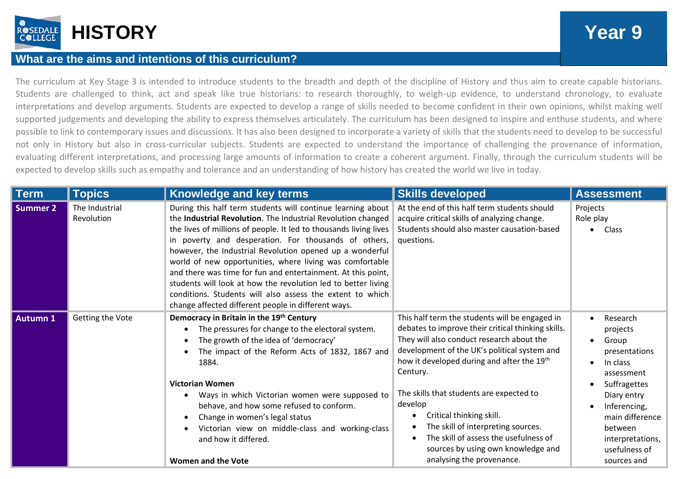

## **What are the aims and intentions of this curriculum?**

The curriculum at Key Stage 3 is intended to introduce students to the breadth and depth of the discipline of History and thus aim to create capable historians. Students are challenged to think, act and speak like true historians: to research thoroughly, to weigh-up evidence, to understand chronology, to evaluate interpretations and develop arguments. Students are expected to develop a range of skills needed to become confident in their own opinions, whilst making well supported judgements and developing the ability to express themselves articulately. The curriculum has been designed to inspire and enthuse students, and where possible to link to contemporary issues and discussions. It has also been designed to incorporate a variety of skills that the students need to develop to be successful not only in History but also in cross-curricular subjects. Students are expected to understand the importance of challenging the provenance of information, evaluating different interpretations, and processing large amounts of information to create a coherent argument. Finally, through the curriculum students will be expected to develop skills such as empathy and tolerance and an understanding of how history has created the world we live in today.

| Term            | <b>Topics</b>                | Knowledge and key terms                                                                                                                                                                                                                                                                                                                                                                                                                                                                                                                                                                                                               | <b>Skills developed</b>                                                                                                                                                                                                                                                                                                                                                                                                                                                                          | <b>Assessment</b>                                                                                                                                                                                         |
|-----------------|------------------------------|---------------------------------------------------------------------------------------------------------------------------------------------------------------------------------------------------------------------------------------------------------------------------------------------------------------------------------------------------------------------------------------------------------------------------------------------------------------------------------------------------------------------------------------------------------------------------------------------------------------------------------------|--------------------------------------------------------------------------------------------------------------------------------------------------------------------------------------------------------------------------------------------------------------------------------------------------------------------------------------------------------------------------------------------------------------------------------------------------------------------------------------------------|-----------------------------------------------------------------------------------------------------------------------------------------------------------------------------------------------------------|
| <b>Summer 2</b> | The Industrial<br>Revolution | During this half term students will continue learning about<br>the Industrial Revolution. The Industrial Revolution changed<br>the lives of millions of people. It led to thousands living lives<br>in poverty and desperation. For thousands of others,<br>however, the Industrial Revolution opened up a wonderful<br>world of new opportunities, where living was comfortable<br>and there was time for fun and entertainment. At this point,<br>students will look at how the revolution led to better living<br>conditions. Students will also assess the extent to which<br>change affected different people in different ways. | At the end of this half term students should<br>acquire critical skills of analyzing change.<br>Students should also master causation-based<br>questions.                                                                                                                                                                                                                                                                                                                                        | Projects<br>Role play<br>Class<br>$\bullet$                                                                                                                                                               |
| <b>Autumn 1</b> | Getting the Vote             | Democracy in Britain in the 19th Century<br>The pressures for change to the electoral system.<br>The growth of the idea of 'democracy'<br>The impact of the Reform Acts of 1832, 1867 and<br>1884.<br><b>Victorian Women</b><br>Ways in which Victorian women were supposed to<br>behave, and how some refused to conform.<br>Change in women's legal status<br>Victorian view on middle-class and working-class<br>and how it differed.<br><b>Women and the Vote</b>                                                                                                                                                                 | This half term the students will be engaged in<br>debates to improve their critical thinking skills.<br>They will also conduct research about the<br>development of the UK's political system and<br>how it developed during and after the 19th<br>Century.<br>The skills that students are expected to<br>develop<br>Critical thinking skill.<br>The skill of interpreting sources.<br>The skill of assess the usefulness of<br>sources by using own knowledge and<br>analysing the provenance. | Research<br>projects<br>Group<br>presentations<br>In class<br>assessment<br>Suffragettes<br>Diary entry<br>Inferencing,<br>main difference<br>between<br>interpretations,<br>usefulness of<br>sources and |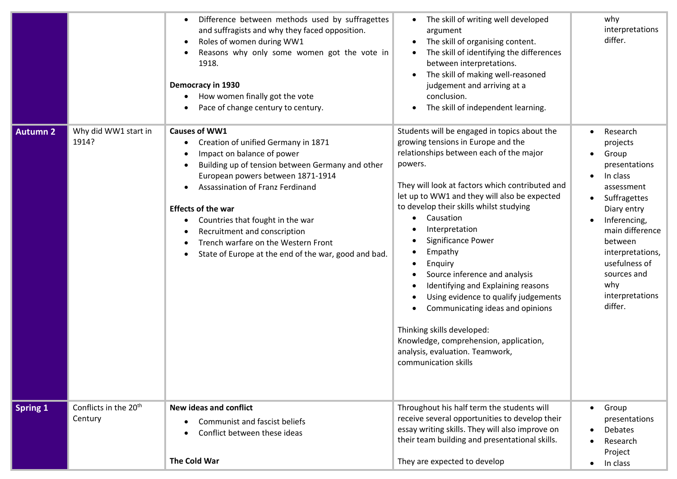| <b>Autumn 2</b> | Why did WW1 start in                         | Difference between methods used by suffragettes<br>and suffragists and why they faced opposition.<br>Roles of women during WW1<br>$\bullet$<br>Reasons why only some women got the vote in<br>1918.<br>Democracy in 1930<br>How women finally got the vote<br>Pace of change century to century.<br><b>Causes of WW1</b>                                                                       | The skill of writing well developed<br>argument<br>The skill of organising content.<br>$\bullet$<br>The skill of identifying the differences<br>between interpretations.<br>The skill of making well-reasoned<br>judgement and arriving at a<br>conclusion.<br>The skill of independent learning.<br>Students will be engaged in topics about the                                                                                                                                                                                                                                                                    | why<br>interpretations<br>differ.<br>Research                                                                                                                                                                                      |
|-----------------|----------------------------------------------|------------------------------------------------------------------------------------------------------------------------------------------------------------------------------------------------------------------------------------------------------------------------------------------------------------------------------------------------------------------------------------------------|----------------------------------------------------------------------------------------------------------------------------------------------------------------------------------------------------------------------------------------------------------------------------------------------------------------------------------------------------------------------------------------------------------------------------------------------------------------------------------------------------------------------------------------------------------------------------------------------------------------------|------------------------------------------------------------------------------------------------------------------------------------------------------------------------------------------------------------------------------------|
|                 | 1914?                                        | Creation of unified Germany in 1871<br>Impact on balance of power<br>Building up of tension between Germany and other<br>European powers between 1871-1914<br>Assassination of Franz Ferdinand<br><b>Effects of the war</b><br>Countries that fought in the war<br>Recruitment and conscription<br>Trench warfare on the Western Front<br>State of Europe at the end of the war, good and bad. | growing tensions in Europe and the<br>relationships between each of the major<br>powers.<br>They will look at factors which contributed and<br>let up to WW1 and they will also be expected<br>to develop their skills whilst studying<br>Causation<br>Interpretation<br>Significance Power<br>Empathy<br>Enquiry<br>$\bullet$<br>Source inference and analysis<br>Identifying and Explaining reasons<br>Using evidence to qualify judgements<br>Communicating ideas and opinions<br>Thinking skills developed:<br>Knowledge, comprehension, application,<br>analysis, evaluation. Teamwork,<br>communication skills | projects<br>Group<br>presentations<br>In class<br>assessment<br>Suffragettes<br>Diary entry<br>Inferencing,<br>main difference<br>between<br>interpretations,<br>usefulness of<br>sources and<br>why<br>interpretations<br>differ. |
| <b>Spring 1</b> | Conflicts in the 20 <sup>th</sup><br>Century | <b>New ideas and conflict</b><br><b>Communist and fascist beliefs</b><br>Conflict between these ideas<br>The Cold War                                                                                                                                                                                                                                                                          | Throughout his half term the students will<br>receive several opportunities to develop their<br>essay writing skills. They will also improve on<br>their team building and presentational skills.<br>They are expected to develop                                                                                                                                                                                                                                                                                                                                                                                    | Group<br>presentations<br><b>Debates</b><br>Research<br>Project<br>In class                                                                                                                                                        |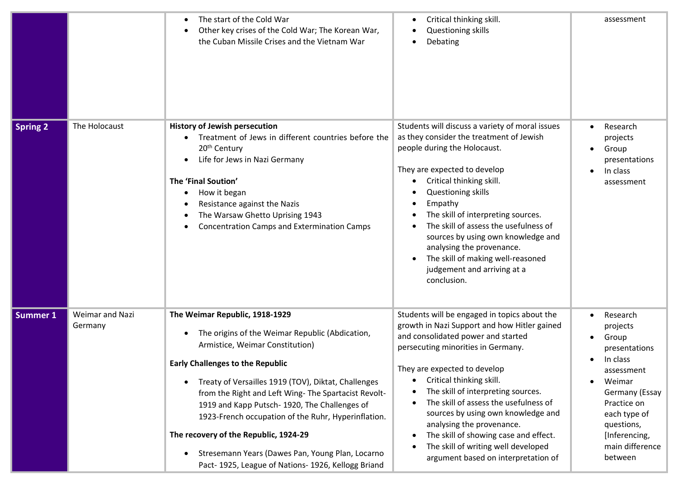|                 |                            | The start of the Cold War<br>Other key crises of the Cold War; The Korean War,<br>the Cuban Missile Crises and the Vietnam War                                                                                                                                                                                                                                                                                                                                                                                                            | Critical thinking skill.<br>Questioning skills<br>Debating                                                                                                                                                                                                                                                                                                                                                                                                                                                    | assessment                                                                                                                                                                                                    |
|-----------------|----------------------------|-------------------------------------------------------------------------------------------------------------------------------------------------------------------------------------------------------------------------------------------------------------------------------------------------------------------------------------------------------------------------------------------------------------------------------------------------------------------------------------------------------------------------------------------|---------------------------------------------------------------------------------------------------------------------------------------------------------------------------------------------------------------------------------------------------------------------------------------------------------------------------------------------------------------------------------------------------------------------------------------------------------------------------------------------------------------|---------------------------------------------------------------------------------------------------------------------------------------------------------------------------------------------------------------|
| <b>Spring 2</b> | The Holocaust              | <b>History of Jewish persecution</b><br>Treatment of Jews in different countries before the<br>20 <sup>th</sup> Century<br>Life for Jews in Nazi Germany<br>The 'Final Soution'<br>How it began<br>Resistance against the Nazis<br>The Warsaw Ghetto Uprising 1943<br><b>Concentration Camps and Extermination Camps</b>                                                                                                                                                                                                                  | Students will discuss a variety of moral issues<br>as they consider the treatment of Jewish<br>people during the Holocaust.<br>They are expected to develop<br>Critical thinking skill.<br>Questioning skills<br>Empathy<br>The skill of interpreting sources.<br>The skill of assess the usefulness of<br>sources by using own knowledge and<br>analysing the provenance.<br>The skill of making well-reasoned<br>judgement and arriving at a<br>conclusion.                                                 | Research<br>projects<br>Group<br>$\bullet$<br>presentations<br>In class<br>assessment                                                                                                                         |
| <b>Summer 1</b> | Weimar and Nazi<br>Germany | The Weimar Republic, 1918-1929<br>The origins of the Weimar Republic (Abdication,<br>Armistice, Weimar Constitution)<br><b>Early Challenges to the Republic</b><br>Treaty of Versailles 1919 (TOV), Diktat, Challenges<br>from the Right and Left Wing- The Spartacist Revolt-<br>1919 and Kapp Putsch-1920, The Challenges of<br>1923-French occupation of the Ruhr, Hyperinflation.<br>The recovery of the Republic, 1924-29<br>Stresemann Years (Dawes Pan, Young Plan, Locarno<br>Pact- 1925, League of Nations- 1926, Kellogg Briand | Students will be engaged in topics about the<br>growth in Nazi Support and how Hitler gained<br>and consolidated power and started<br>persecuting minorities in Germany.<br>They are expected to develop<br>Critical thinking skill.<br>The skill of interpreting sources.<br>The skill of assess the usefulness of<br>sources by using own knowledge and<br>analysing the provenance.<br>The skill of showing case and effect.<br>The skill of writing well developed<br>argument based on interpretation of | Research<br>projects<br>Group<br>$\bullet$<br>presentations<br>In class<br>assessment<br>Weimar<br>Germany (Essay<br>Practice on<br>each type of<br>questions,<br>[Inferencing,<br>main difference<br>between |